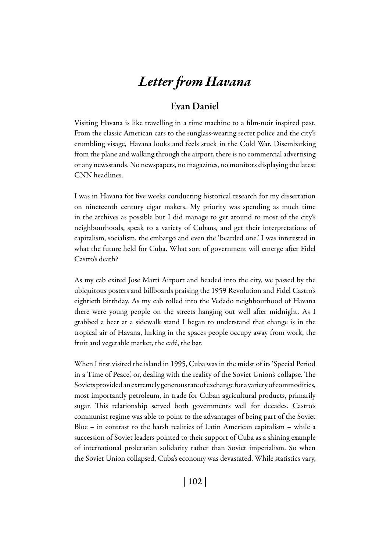# *Letter from Havana*

# Evan Daniel

Visiting Havana is like travelling in a time machine to a film-noir inspired past. From the classic American cars to the sunglass-wearing secret police and the city's crumbling visage, Havana looks and feels stuck in the Cold War. Disembarking from the plane and walking through the airport, there is no commercial advertising or any newsstands. No newspapers, no magazines, no monitors displaying the latest CNN headlines.

I was in Havana for five weeks conducting historical research for my dissertation on nineteenth century cigar makers. My priority was spending as much time in the archives as possible but I did manage to get around to most of the city's neighbourhoods, speak to a variety of Cubans, and get their interpretations of capitalism, socialism, the embargo and even the 'bearded one.' I was interested in what the future held for Cuba. What sort of government will emerge after Fidel Castro's death?

As my cab exited Jose Martí Airport and headed into the city, we passed by the ubiquitous posters and billboards praising the 1959 Revolution and Fidel Castro's eightieth birthday. As my cab rolled into the Vedado neighbourhood of Havana there were young people on the streets hanging out well after midnight. As I grabbed a beer at a sidewalk stand I began to understand that change is in the tropical air of Havana, lurking in the spaces people occupy away from work, the fruit and vegetable market, the café, the bar.

When I first visited the island in 1995, Cuba was in the midst of its 'Special Period in a Time of Peace,' or, dealing with the reality of the Soviet Union's collapse. The Soviets provided an extremely generous rate of exchange for a variety of commodities, most importantly petroleum, in trade for Cuban agricultural products, primarily sugar. This relationship served both governments well for decades. Castro's communist regime was able to point to the advantages of being part of the Soviet Bloc – in contrast to the harsh realities of Latin American capitalism – while a succession of Soviet leaders pointed to their support of Cuba as a shining example of international proletarian solidarity rather than Soviet imperialism. So when the Soviet Union collapsed, Cuba's economy was devastated. While statistics vary,

| 102 |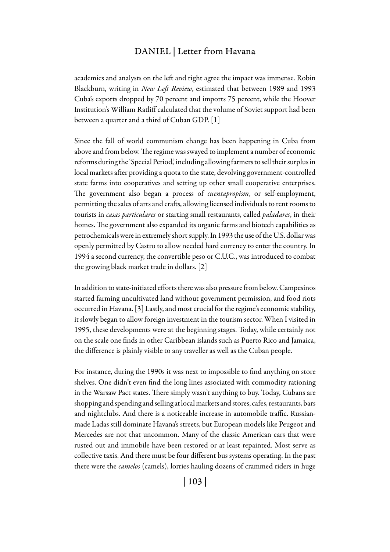## DANIEL | Letter from Havana

academics and analysts on the left and right agree the impact was immense. Robin Blackburn, writing in *New Left Review*, estimated that between 1989 and 1993 Cuba's exports dropped by 70 percent and imports 75 percent, while the Hoover Institution's William Ratliff calculated that the volume of Soviet support had been between a quarter and a third of Cuban GDP. [1]

Since the fall of world communism change has been happening in Cuba from above and from below. The regime was swayed to implement a number of economic reforms during the 'Special Period,' including allowing farmers to sell their surplus in local markets after providing a quota to the state, devolving government-controlled state farms into cooperatives and setting up other small cooperative enterprises. The government also began a process of *cuentapropism*, or self-employment, permitting the sales of arts and crafts, allowing licensed individuals to rent rooms to tourists in *casas particulares* or starting small restaurants, called *paladares*, in their homes. The government also expanded its organic farms and biotech capabilities as petrochemicals were in extremely short supply. In 1993 the use of the U.S. dollar was openly permitted by Castro to allow needed hard currency to enter the country. In 1994 a second currency, the convertible peso or C.U.C., was introduced to combat the growing black market trade in dollars. [2]

In addition to state-initiated efforts there was also pressure from below. Campesinos started farming uncultivated land without government permission, and food riots occurred in Havana. [3] Lastly, and most crucial for the regime's economic stability, it slowly began to allow foreign investment in the tourism sector. When I visited in 1995, these developments were at the beginning stages. Today, while certainly not on the scale one finds in other Caribbean islands such as Puerto Rico and Jamaica, the difference is plainly visible to any traveller as well as the Cuban people.

For instance, during the 1990s it was next to impossible to find anything on store shelves. One didn't even find the long lines associated with commodity rationing in the Warsaw Pact states. There simply wasn't anything to buy. Today, Cubans are shopping and spending and selling at local markets and stores, cafes, restaurants, bars and nightclubs. And there is a noticeable increase in automobile traffic. Russianmade Ladas still dominate Havana's streets, but European models like Peugeot and Mercedes are not that uncommon. Many of the classic American cars that were rusted out and immobile have been restored or at least repainted. Most serve as collective taxis. And there must be four different bus systems operating. In the past there were the *camelos* (camels), lorries hauling dozens of crammed riders in huge

| 103 |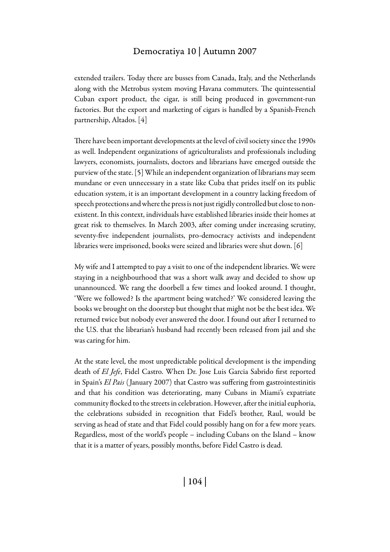## Democratiya 10 | Autumn 2007

extended trailers. Today there are busses from Canada, Italy, and the Netherlands along with the Metrobus system moving Havana commuters. The quintessential Cuban export product, the cigar, is still being produced in government-run factories. But the export and marketing of cigars is handled by a Spanish-French partnership, Altados. [4]

There have been important developments at the level of civil society since the 1990s as well. Independent organizations of agriculturalists and professionals including lawyers, economists, journalists, doctors and librarians have emerged outside the purview of the state. [5] While an independent organization of librarians may seem mundane or even unnecessary in a state like Cuba that prides itself on its public education system, it is an important development in a country lacking freedom of speech protections and where the press is not just rigidly controlled but close to nonexistent. In this context, individuals have established libraries inside their homes at great risk to themselves. In March 2003, after coming under increasing scrutiny, seventy-five independent journalists, pro-democracy activists and independent libraries were imprisoned, books were seized and libraries were shut down. [6]

My wife and I attempted to pay a visit to one of the independent libraries. We were staying in a neighbourhood that was a short walk away and decided to show up unannounced. We rang the doorbell a few times and looked around. I thought, 'Were we followed? Is the apartment being watched?' We considered leaving the books we brought on the doorstep but thought that might not be the best idea. We returned twice but nobody ever answered the door. I found out after I returned to the U.S. that the librarian's husband had recently been released from jail and she was caring for him.

At the state level, the most unpredictable political development is the impending death of *El Jefe*, Fidel Castro. When Dr. Jose Luis Garcia Sabrido first reported in Spain's *El Pais* ( January 2007) that Castro was suffering from gastrointestinitis and that his condition was deteriorating, many Cubans in Miami's expatriate community flocked to the streets in celebration. However, after the initial euphoria, the celebrations subsided in recognition that Fidel's brother, Raul, would be serving as head of state and that Fidel could possibly hang on for a few more years. Regardless, most of the world's people – including Cubans on the Island – know that it is a matter of years, possibly months, before Fidel Castro is dead.

| 104 |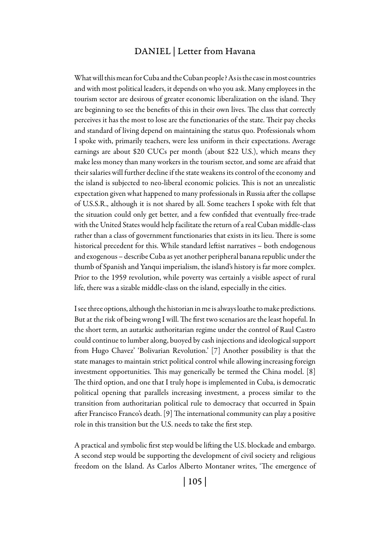### DANIEL | Letter from Havana

What will this mean for Cuba and the Cuban people? As is the case in most countries and with most political leaders, it depends on who you ask. Many employees in the tourism sector are desirous of greater economic liberalization on the island. They are beginning to see the benefits of this in their own lives. The class that correctly perceives it has the most to lose are the functionaries of the state. Their pay checks and standard of living depend on maintaining the status quo. Professionals whom I spoke with, primarily teachers, were less uniform in their expectations. Average earnings are about \$20 CUCs per month (about \$22 U.S.), which means they make less money than many workers in the tourism sector, and some are afraid that their salaries will further decline if the state weakens its control of the economy and the island is subjected to neo-liberal economic policies. This is not an unrealistic expectation given what happened to many professionals in Russia after the collapse of U.S.S.R., although it is not shared by all. Some teachers I spoke with felt that the situation could only get better, and a few confided that eventually free-trade with the United States would help facilitate the return of a real Cuban middle-class rather than a class of government functionaries that exists in its lieu. There is some historical precedent for this. While standard leftist narratives – both endogenous and exogenous – describe Cuba as yet another peripheral banana republic under the thumb of Spanish and Yanqui imperialism, the island's history is far more complex. Prior to the 1959 revolution, while poverty was certainly a visible aspect of rural life, there was a sizable middle-class on the island, especially in the cities.

I see three options, although the historian in me is always loathe to make predictions. But at the risk of being wrong I will. The first two scenarios are the least hopeful. In the short term, an autarkic authoritarian regime under the control of Raul Castro could continue to lumber along, buoyed by cash injections and ideological support from Hugo Chavez' 'Bolivarian Revolution.' [7] Another possibility is that the state manages to maintain strict political control while allowing increasing foreign investment opportunities. This may generically be termed the China model. [8] The third option, and one that I truly hope is implemented in Cuba, is democratic political opening that parallels increasing investment, a process similar to the transition from authoritarian political rule to democracy that occurred in Spain after Francisco Franco's death. [9] The international community can play a positive role in this transition but the U.S. needs to take the first step.

A practical and symbolic first step would be lifting the U.S. blockade and embargo. A second step would be supporting the development of civil society and religious freedom on the Island. As Carlos Alberto Montaner writes, 'The emergence of

| 105 |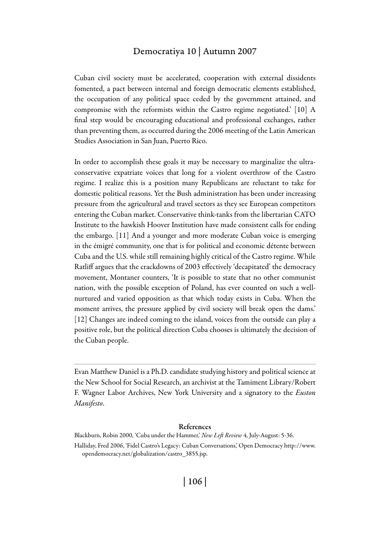#### Democratiya 10 | Autumn 2007

Cuban civil society must be accelerated, cooperation with external dissidents fomented, a pact between internal and foreign democratic elements established, the occupation of any political space ceded by the government attained, and compromise with the reformists within the Castro regime negotiated.' [10] A final step would be encouraging educational and professional exchanges, rather than preventing them, as occurred during the 2006 meeting of the Latin American Studies Association in San Juan, Puerto Rico.

In order to accomplish these goals it may be necessary to marginalize the ultraconservative expatriate voices that long for a violent overthrow of the Castro regime. I realize this is a position many Republicans are reluctant to take for domestic political reasons. Yet the Bush administration has been under increasing pressure from the agricultural and travel sectors as they see European competitors entering the Cuban market. Conservative think-tanks from the libertarian CATO Institute to the hawkish Hoover Institution have made consistent calls for ending the embargo. [11] And a younger and more moderate Cuban voice is emerging in the émigré community, one that is for political and economic détente between Cuba and the U.S. while still remaining highly critical of the Castro regime. While Ratliff argues that the crackdowns of 2003 effectively 'decapitated' the democracy movement, Montaner counters, 'It is possible to state that no other communist nation, with the possible exception of Poland, has ever counted on such a wellnurtured and varied opposition as that which today exists in Cuba. When the moment arrives, the pressure applied by civil society will break open the dams.' [12] Changes are indeed coming to the island, voices from the outside can play a positive role, but the political direction Cuba chooses is ultimately the decision of the Cuban people.

Evan Matthew Daniel is a Ph.D. candidate studying history and political science at the New School for Social Research, an archivist at the Tamiment Library/Robert F. Wagner Labor Archives, New York University and a signatory to the *Euston Manifesto*.

#### References

Blackburn, Robin 2000, 'Cuba under the Hammer,' *New Left Review* 4, July-August: 5-36. Halliday, Fred 2006, 'Fidel Castro's Legacy: Cuban Conversations,' Open Democracy http://www. opendemocracy.net/globalization/castro\_3855.jsp.

| 106 |